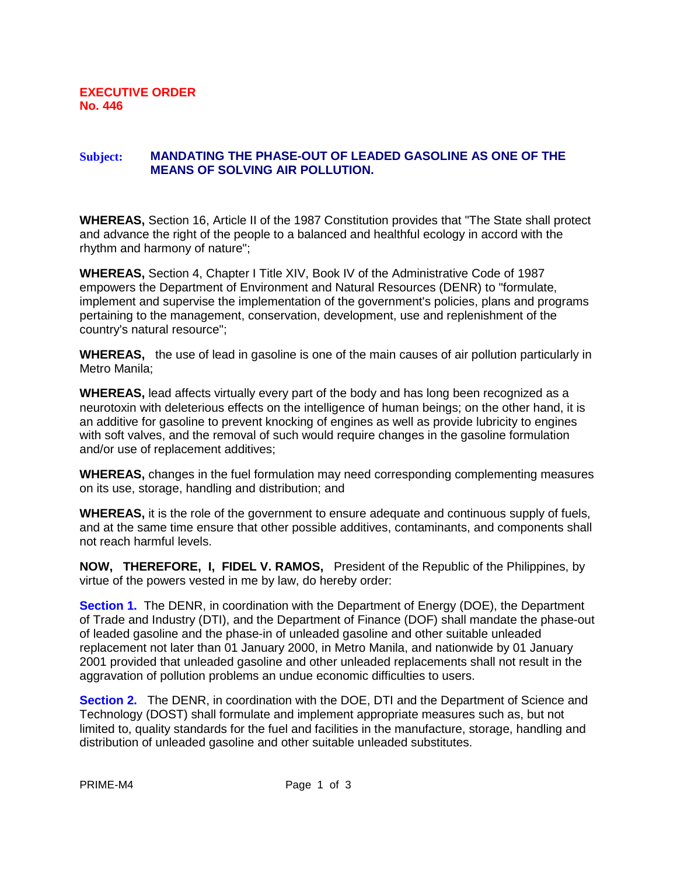## **Subject: MANDATING THE PHASE-OUT OF LEADED GASOLINE AS ONE OF THE MEANS OF SOLVING AIR POLLUTION.**

**WHEREAS,** Section 16, Article II of the 1987 Constitution provides that "The State shall protect and advance the right of the people to a balanced and healthful ecology in accord with the rhythm and harmony of nature";

**WHEREAS,** Section 4, Chapter I Title XIV, Book IV of the Administrative Code of 1987 empowers the Department of Environment and Natural Resources (DENR) to "formulate, implement and supervise the implementation of the government's policies, plans and programs pertaining to the management, conservation, development, use and replenishment of the country's natural resource";

**WHEREAS,** the use of lead in gasoline is one of the main causes of air pollution particularly in Metro Manila;

**WHEREAS,** lead affects virtually every part of the body and has long been recognized as a neurotoxin with deleterious effects on the intelligence of human beings; on the other hand, it is an additive for gasoline to prevent knocking of engines as well as provide lubricity to engines with soft valves, and the removal of such would require changes in the gasoline formulation and/or use of replacement additives;

**WHEREAS,** changes in the fuel formulation may need corresponding complementing measures on its use, storage, handling and distribution; and

**WHEREAS,** it is the role of the government to ensure adequate and continuous supply of fuels, and at the same time ensure that other possible additives, contaminants, and components shall not reach harmful levels.

**NOW, THEREFORE, I, FIDEL V. RAMOS,** President of the Republic of the Philippines, by virtue of the powers vested in me by law, do hereby order:

**Section 1.** The DENR, in coordination with the Department of Energy (DOE), the Department of Trade and Industry (DTI), and the Department of Finance (DOF) shall mandate the phase-out of leaded gasoline and the phase-in of unleaded gasoline and other suitable unleaded replacement not later than 01 January 2000, in Metro Manila, and nationwide by 01 January 2001 provided that unleaded gasoline and other unleaded replacements shall not result in the aggravation of pollution problems an undue economic difficulties to users.

**Section 2.** The DENR, in coordination with the DOE, DTI and the Department of Science and Technology (DOST) shall formulate and implement appropriate measures such as, but not limited to, quality standards for the fuel and facilities in the manufacture, storage, handling and distribution of unleaded gasoline and other suitable unleaded substitutes.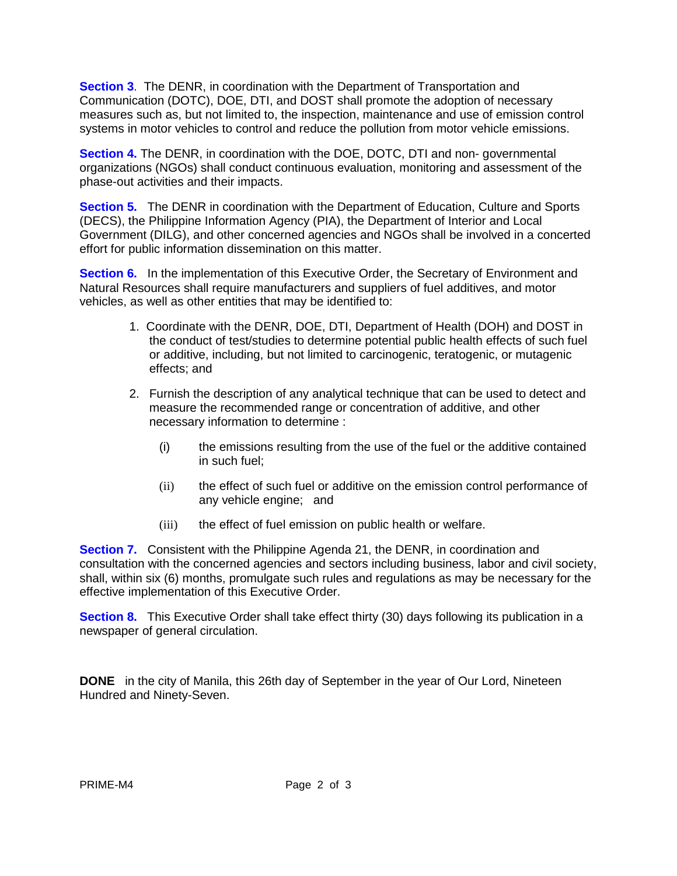**Section 3**. The DENR, in coordination with the Department of Transportation and Communication (DOTC), DOE, DTI, and DOST shall promote the adoption of necessary measures such as, but not limited to, the inspection, maintenance and use of emission control systems in motor vehicles to control and reduce the pollution from motor vehicle emissions.

**Section 4.** The DENR, in coordination with the DOE, DOTC, DTI and non- governmental organizations (NGOs) shall conduct continuous evaluation, monitoring and assessment of the phase-out activities and their impacts.

**Section 5.** The DENR in coordination with the Department of Education, Culture and Sports (DECS), the Philippine Information Agency (PIA), the Department of Interior and Local Government (DILG), and other concerned agencies and NGOs shall be involved in a concerted effort for public information dissemination on this matter.

**Section 6.** In the implementation of this Executive Order, the Secretary of Environment and Natural Resources shall require manufacturers and suppliers of fuel additives, and motor vehicles, as well as other entities that may be identified to:

- 1. Coordinate with the DENR, DOE, DTI, Department of Health (DOH) and DOST in the conduct of test/studies to determine potential public health effects of such fuel or additive, including, but not limited to carcinogenic, teratogenic, or mutagenic effects; and
- 2. Furnish the description of any analytical technique that can be used to detect and measure the recommended range or concentration of additive, and other necessary information to determine :
	- (i) the emissions resulting from the use of the fuel or the additive contained in such fuel;
	- (ii) the effect of such fuel or additive on the emission control performance of any vehicle engine; and
	- (iii) the effect of fuel emission on public health or welfare.

**Section 7.** Consistent with the Philippine Agenda 21, the DENR, in coordination and consultation with the concerned agencies and sectors including business, labor and civil society, shall, within six (6) months, promulgate such rules and regulations as may be necessary for the effective implementation of this Executive Order.

**Section 8.** This Executive Order shall take effect thirty (30) days following its publication in a newspaper of general circulation.

**DONE** in the city of Manila, this 26th day of September in the year of Our Lord, Nineteen Hundred and Ninety-Seven.